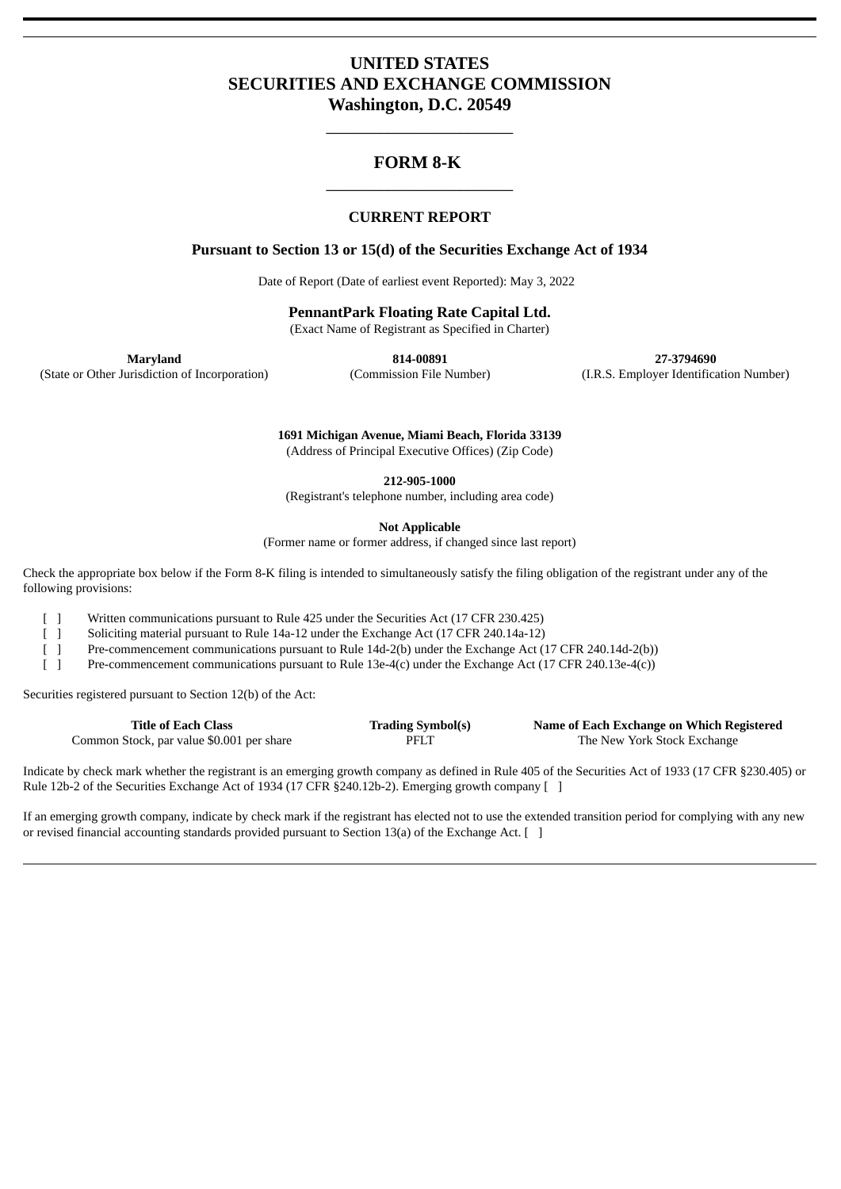# **UNITED STATES SECURITIES AND EXCHANGE COMMISSION Washington, D.C. 20549**

\_\_\_\_\_\_\_\_\_\_\_\_\_\_\_\_\_\_\_\_\_

# **FORM 8-K** \_\_\_\_\_\_\_\_\_\_\_\_\_\_\_\_\_\_\_\_\_

# **CURRENT REPORT**

# **Pursuant to Section 13 or 15(d) of the Securities Exchange Act of 1934**

Date of Report (Date of earliest event Reported): May 3, 2022

**PennantPark Floating Rate Capital Ltd.**

(Exact Name of Registrant as Specified in Charter)

**Maryland 814-00891 27-3794690** (State or Other Jurisdiction of Incorporation) (Commission File Number) (I.R.S. Employer Identification Number)

> **1691 Michigan Avenue, Miami Beach, Florida 33139** (Address of Principal Executive Offices) (Zip Code)

> > **212-905-1000**

(Registrant's telephone number, including area code)

**Not Applicable**

(Former name or former address, if changed since last report)

Check the appropriate box below if the Form 8-K filing is intended to simultaneously satisfy the filing obligation of the registrant under any of the following provisions:

[ ] Written communications pursuant to Rule 425 under the Securities Act (17 CFR 230.425)

[ ] Soliciting material pursuant to Rule 14a-12 under the Exchange Act (17 CFR 240.14a-12)

[ ] Pre-commencement communications pursuant to Rule 14d-2(b) under the Exchange Act (17 CFR 240.14d-2(b))

[ ] Pre-commencement communications pursuant to Rule 13e-4(c) under the Exchange Act (17 CFR 240.13e-4(c))

Securities registered pursuant to Section 12(b) of the Act:

| <b>Title of Each Class</b>                | <b>Trading Symbol(s)</b> | Name of Each Exchange on Which Registered |
|-------------------------------------------|--------------------------|-------------------------------------------|
| Common Stock, par value \$0.001 per share | PFLT                     | The New York Stock Exchange               |

Indicate by check mark whether the registrant is an emerging growth company as defined in Rule 405 of the Securities Act of 1933 (17 CFR §230.405) or Rule 12b-2 of the Securities Exchange Act of 1934 (17 CFR §240.12b-2). Emerging growth company [ ]

If an emerging growth company, indicate by check mark if the registrant has elected not to use the extended transition period for complying with any new or revised financial accounting standards provided pursuant to Section 13(a) of the Exchange Act.  $\lceil \ \rceil$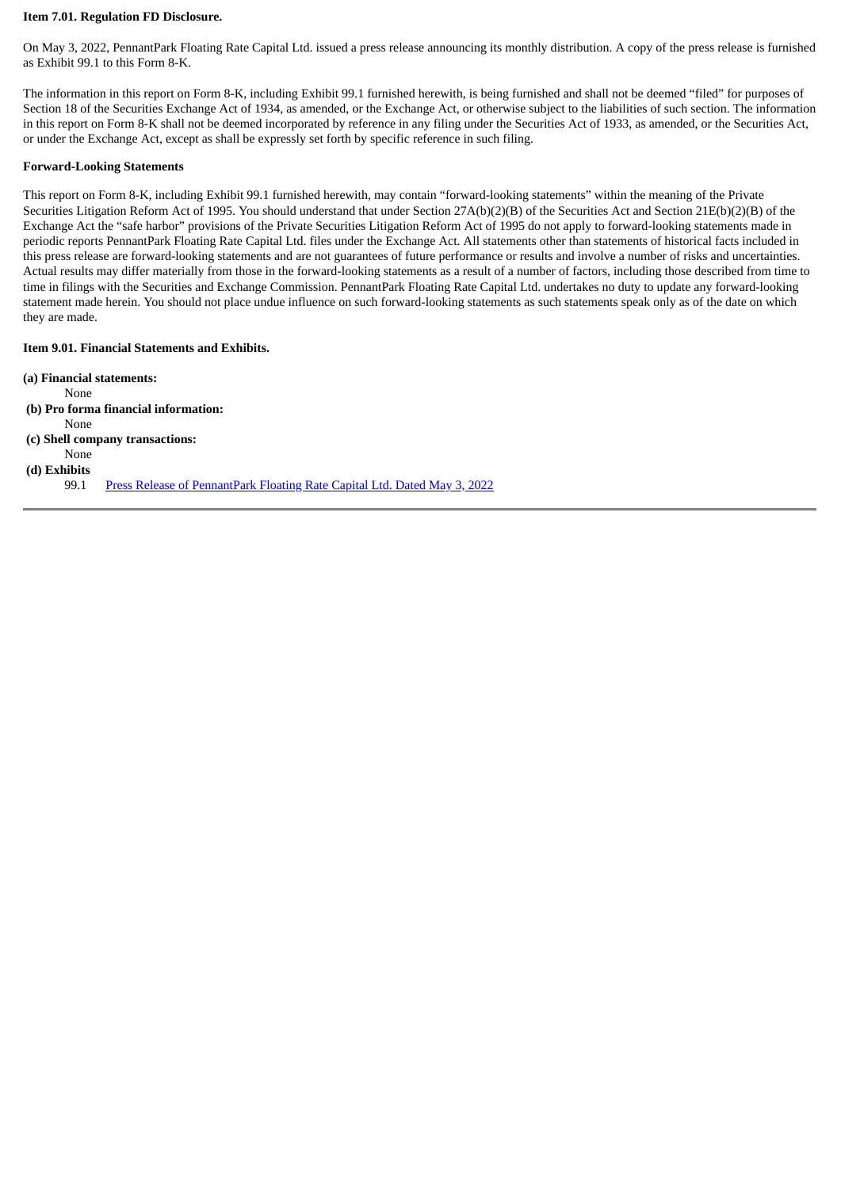### **Item 7.01. Regulation FD Disclosure.**

On May 3, 2022, PennantPark Floating Rate Capital Ltd. issued a press release announcing its monthly distribution. A copy of the press release is furnished as Exhibit 99.1 to this Form 8-K.

The information in this report on Form 8-K, including Exhibit 99.1 furnished herewith, is being furnished and shall not be deemed "filed" for purposes of Section 18 of the Securities Exchange Act of 1934, as amended, or the Exchange Act, or otherwise subject to the liabilities of such section. The information in this report on Form 8-K shall not be deemed incorporated by reference in any filing under the Securities Act of 1933, as amended, or the Securities Act, or under the Exchange Act, except as shall be expressly set forth by specific reference in such filing.

#### **Forward-Looking Statements**

This report on Form 8-K, including Exhibit 99.1 furnished herewith, may contain "forward-looking statements" within the meaning of the Private Securities Litigation Reform Act of 1995. You should understand that under Section 27A(b)(2)(B) of the Securities Act and Section 21E(b)(2)(B) of the Exchange Act the "safe harbor" provisions of the Private Securities Litigation Reform Act of 1995 do not apply to forward-looking statements made in periodic reports PennantPark Floating Rate Capital Ltd. files under the Exchange Act. All statements other than statements of historical facts included in this press release are forward-looking statements and are not guarantees of future performance or results and involve a number of risks and uncertainties. Actual results may differ materially from those in the forward-looking statements as a result of a number of factors, including those described from time to time in filings with the Securities and Exchange Commission. PennantPark Floating Rate Capital Ltd. undertakes no duty to update any forward-looking statement made herein. You should not place undue influence on such forward-looking statements as such statements speak only as of the date on which they are made.

### **Item 9.01. Financial Statements and Exhibits.**

| (a) Financial statements: |                                                                           |
|---------------------------|---------------------------------------------------------------------------|
| None                      |                                                                           |
|                           | (b) Pro forma financial information:                                      |
| None                      |                                                                           |
|                           | (c) Shell company transactions:                                           |
| None                      |                                                                           |
| (d) Exhibits              |                                                                           |
| 99.1                      | Press Release of PennantPark Floating Rate Capital Ltd. Dated May 3, 2022 |
|                           |                                                                           |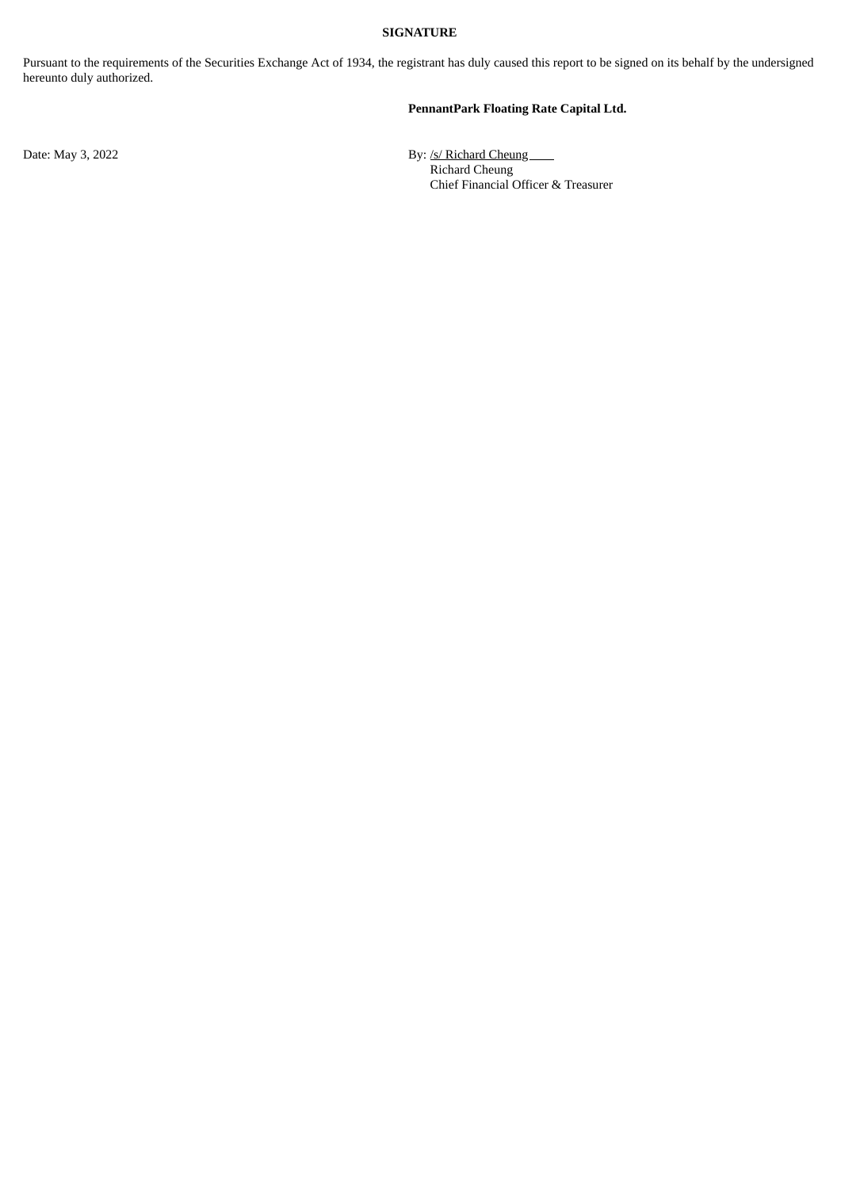### **SIGNATURE**

Pursuant to the requirements of the Securities Exchange Act of 1934, the registrant has duly caused this report to be signed on its behalf by the undersigned hereunto duly authorized.

# **PennantPark Floating Rate Capital Ltd.**

Date: May 3, 2022 **By:** /s/ Richard Cheung Richard Cheung Chief Financial Officer & Treasurer